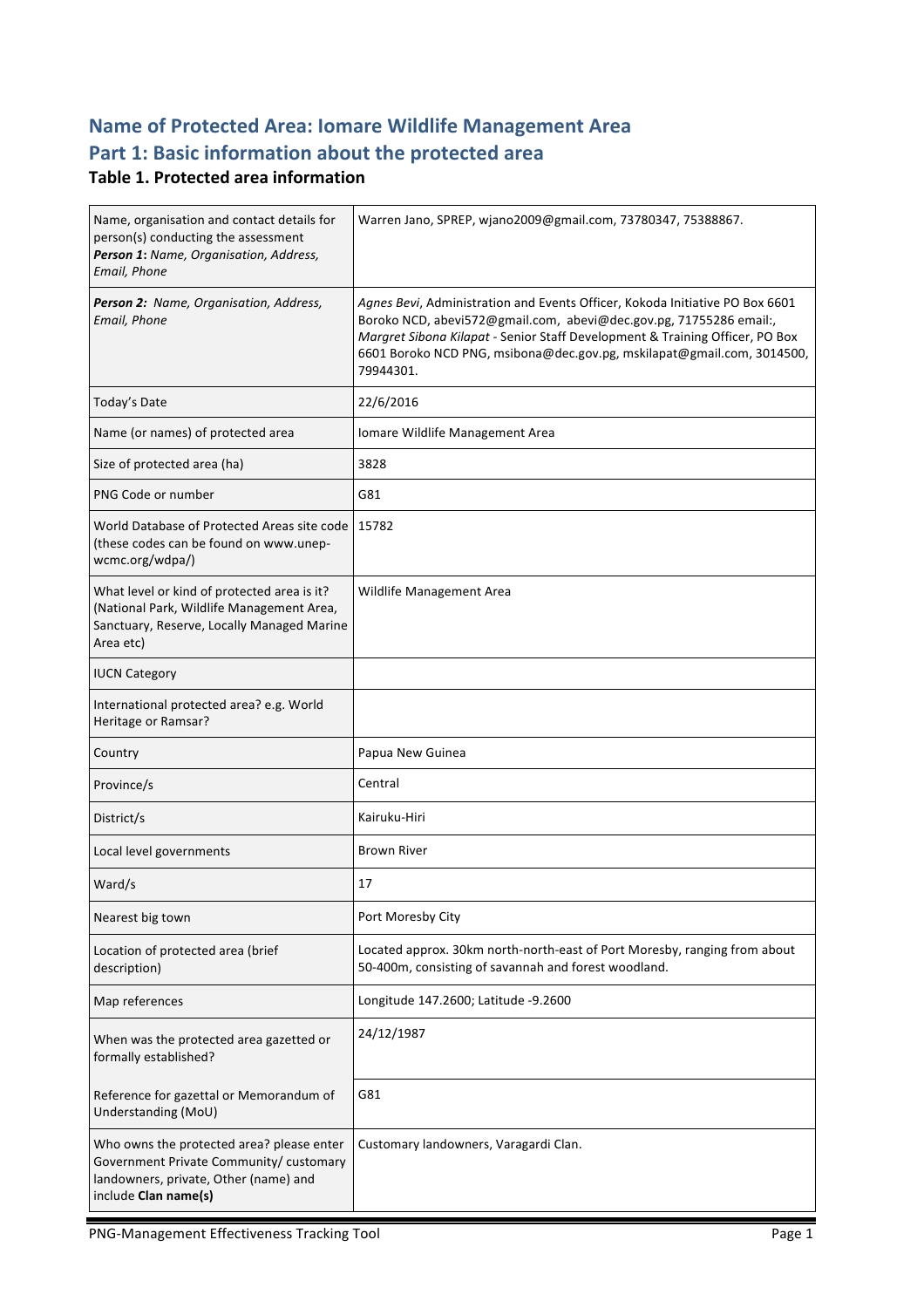# **Name of Protected Area: Iomare Wildlife Management Area** Part 1: Basic information about the protected area

#### **Table 1. Protected area information**

| Name, organisation and contact details for<br>person(s) conducting the assessment<br>Person 1: Name, Organisation, Address,<br>Email, Phone           | Warren Jano, SPREP, wjano2009@gmail.com, 73780347, 75388867.                                                                                                                                                                                                                                                              |
|-------------------------------------------------------------------------------------------------------------------------------------------------------|---------------------------------------------------------------------------------------------------------------------------------------------------------------------------------------------------------------------------------------------------------------------------------------------------------------------------|
| Person 2: Name, Organisation, Address,<br>Email, Phone                                                                                                | Agnes Bevi, Administration and Events Officer, Kokoda Initiative PO Box 6601<br>Boroko NCD, abevi572@gmail.com, abevi@dec.gov.pg, 71755286 email:,<br>Margret Sibona Kilapat - Senior Staff Development & Training Officer, PO Box<br>6601 Boroko NCD PNG, msibona@dec.gov.pg, mskilapat@gmail.com, 3014500,<br>79944301. |
| Today's Date                                                                                                                                          | 22/6/2016                                                                                                                                                                                                                                                                                                                 |
| Name (or names) of protected area                                                                                                                     | Iomare Wildlife Management Area                                                                                                                                                                                                                                                                                           |
| Size of protected area (ha)                                                                                                                           | 3828                                                                                                                                                                                                                                                                                                                      |
| PNG Code or number                                                                                                                                    | G81                                                                                                                                                                                                                                                                                                                       |
| World Database of Protected Areas site code<br>(these codes can be found on www.unep-<br>wcmc.org/wdpa/)                                              | 15782                                                                                                                                                                                                                                                                                                                     |
| What level or kind of protected area is it?<br>(National Park, Wildlife Management Area,<br>Sanctuary, Reserve, Locally Managed Marine<br>Area etc)   | Wildlife Management Area                                                                                                                                                                                                                                                                                                  |
| <b>IUCN Category</b>                                                                                                                                  |                                                                                                                                                                                                                                                                                                                           |
| International protected area? e.g. World<br>Heritage or Ramsar?                                                                                       |                                                                                                                                                                                                                                                                                                                           |
| Country                                                                                                                                               | Papua New Guinea                                                                                                                                                                                                                                                                                                          |
| Province/s                                                                                                                                            | Central                                                                                                                                                                                                                                                                                                                   |
| District/s                                                                                                                                            | Kairuku-Hiri                                                                                                                                                                                                                                                                                                              |
| Local level governments                                                                                                                               | <b>Brown River</b>                                                                                                                                                                                                                                                                                                        |
| Ward/s                                                                                                                                                | 17                                                                                                                                                                                                                                                                                                                        |
| Nearest big town                                                                                                                                      | Port Moresby City                                                                                                                                                                                                                                                                                                         |
| Location of protected area (brief<br>description)                                                                                                     | Located approx. 30km north-north-east of Port Moresby, ranging from about<br>50-400m, consisting of savannah and forest woodland.                                                                                                                                                                                         |
| Map references                                                                                                                                        | Longitude 147.2600; Latitude -9.2600                                                                                                                                                                                                                                                                                      |
| When was the protected area gazetted or<br>formally established?                                                                                      | 24/12/1987                                                                                                                                                                                                                                                                                                                |
| Reference for gazettal or Memorandum of<br>Understanding (MoU)                                                                                        | G81                                                                                                                                                                                                                                                                                                                       |
| Who owns the protected area? please enter<br>Government Private Community/ customary<br>landowners, private, Other (name) and<br>include Clan name(s) | Customary landowners, Varagardi Clan.                                                                                                                                                                                                                                                                                     |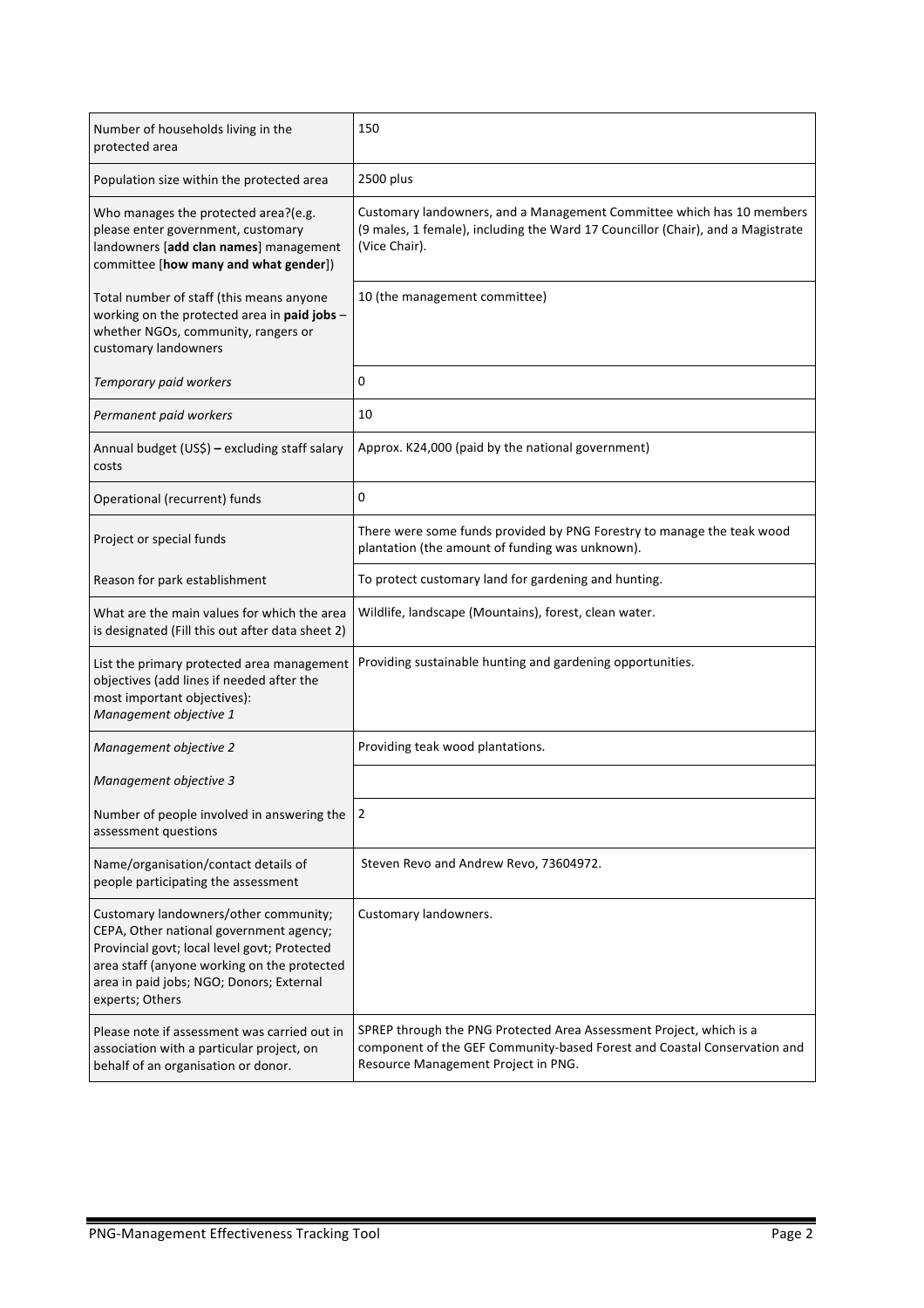| Number of households living in the<br>protected area                                                                                                                                                                                           | 150                                                                                                                                                                                    |
|------------------------------------------------------------------------------------------------------------------------------------------------------------------------------------------------------------------------------------------------|----------------------------------------------------------------------------------------------------------------------------------------------------------------------------------------|
| Population size within the protected area                                                                                                                                                                                                      | 2500 plus                                                                                                                                                                              |
| Who manages the protected area?(e.g.<br>please enter government, customary<br>landowners [add clan names] management<br>committee [how many and what gender])                                                                                  | Customary landowners, and a Management Committee which has 10 members<br>(9 males, 1 female), including the Ward 17 Councillor (Chair), and a Magistrate<br>(Vice Chair).              |
| Total number of staff (this means anyone<br>working on the protected area in paid jobs -<br>whether NGOs, community, rangers or<br>customary landowners                                                                                        | 10 (the management committee)                                                                                                                                                          |
| Temporary paid workers                                                                                                                                                                                                                         | 0                                                                                                                                                                                      |
| Permanent paid workers                                                                                                                                                                                                                         | 10                                                                                                                                                                                     |
| Annual budget (US\$) - excluding staff salary<br>costs                                                                                                                                                                                         | Approx. K24,000 (paid by the national government)                                                                                                                                      |
| Operational (recurrent) funds                                                                                                                                                                                                                  | 0                                                                                                                                                                                      |
| Project or special funds                                                                                                                                                                                                                       | There were some funds provided by PNG Forestry to manage the teak wood<br>plantation (the amount of funding was unknown).                                                              |
| Reason for park establishment                                                                                                                                                                                                                  | To protect customary land for gardening and hunting.                                                                                                                                   |
| What are the main values for which the area<br>is designated (Fill this out after data sheet 2)                                                                                                                                                | Wildlife, landscape (Mountains), forest, clean water.                                                                                                                                  |
| List the primary protected area management<br>objectives (add lines if needed after the<br>most important objectives):<br>Management objective 1                                                                                               | Providing sustainable hunting and gardening opportunities.                                                                                                                             |
| Management objective 2                                                                                                                                                                                                                         | Providing teak wood plantations.                                                                                                                                                       |
| Management objective 3                                                                                                                                                                                                                         |                                                                                                                                                                                        |
| Number of people involved in answering the<br>assessment questions                                                                                                                                                                             | 2                                                                                                                                                                                      |
| Name/organisation/contact details of<br>people participating the assessment                                                                                                                                                                    | Steven Revo and Andrew Revo, 73604972.                                                                                                                                                 |
| Customary landowners/other community;<br>CEPA, Other national government agency;<br>Provincial govt; local level govt; Protected<br>area staff (anyone working on the protected<br>area in paid jobs; NGO; Donors; External<br>experts; Others | Customary landowners.                                                                                                                                                                  |
| Please note if assessment was carried out in<br>association with a particular project, on<br>behalf of an organisation or donor.                                                                                                               | SPREP through the PNG Protected Area Assessment Project, which is a<br>component of the GEF Community-based Forest and Coastal Conservation and<br>Resource Management Project in PNG. |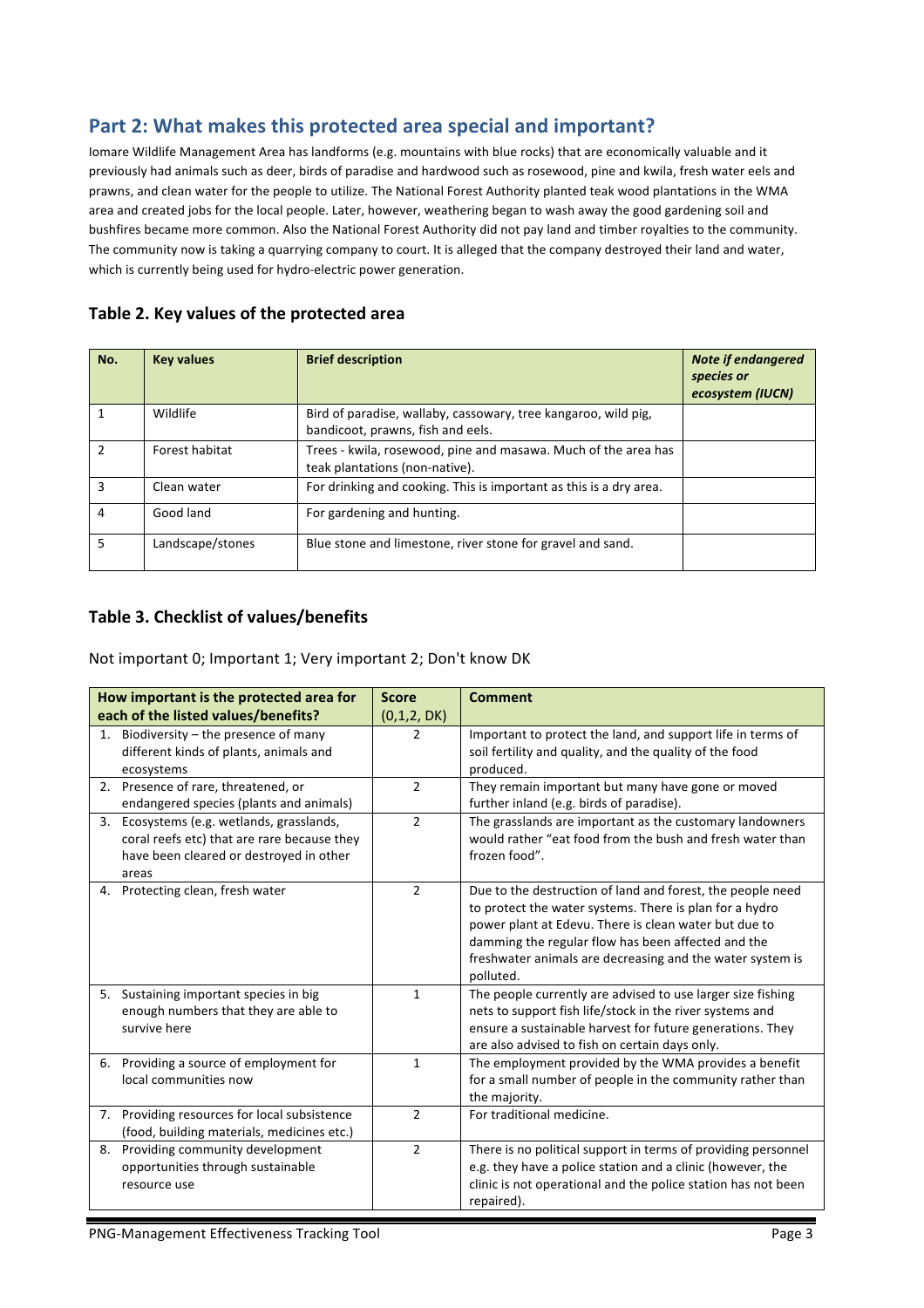## Part 2: What makes this protected area special and important?

Iomare Wildlife Management Area has landforms (e.g. mountains with blue rocks) that are economically valuable and it previously had animals such as deer, birds of paradise and hardwood such as rosewood, pine and kwila, fresh water eels and prawns, and clean water for the people to utilize. The National Forest Authority planted teak wood plantations in the WMA area and created jobs for the local people. Later, however, weathering began to wash away the good gardening soil and bushfires became more common. Also the National Forest Authority did not pay land and timber royalties to the community. The community now is taking a quarrying company to court. It is alleged that the company destroyed their land and water, which is currently being used for hydro-electric power generation.

| No. | <b>Key values</b> | <b>Brief description</b>                                                                            | <b>Note if endangered</b><br>species or<br>ecosystem (IUCN) |
|-----|-------------------|-----------------------------------------------------------------------------------------------------|-------------------------------------------------------------|
|     | Wildlife          | Bird of paradise, wallaby, cassowary, tree kangaroo, wild pig,<br>bandicoot, prawns, fish and eels. |                                                             |
|     | Forest habitat    | Trees - kwila, rosewood, pine and masawa. Much of the area has<br>teak plantations (non-native).    |                                                             |
| 3   | Clean water       | For drinking and cooking. This is important as this is a dry area.                                  |                                                             |
| 4   | Good land         | For gardening and hunting.                                                                          |                                                             |
| 5   | Landscape/stones  | Blue stone and limestone, river stone for gravel and sand.                                          |                                                             |

#### Table 2. Key values of the protected area

#### Table 3. Checklist of values/benefits

Not important 0; Important 1; Very important 2; Don't know DK

| How important is the protected area for |                                                                                                                                              | <b>Score</b>   | <b>Comment</b>                                                                                                                                                                                                                                                                                                 |
|-----------------------------------------|----------------------------------------------------------------------------------------------------------------------------------------------|----------------|----------------------------------------------------------------------------------------------------------------------------------------------------------------------------------------------------------------------------------------------------------------------------------------------------------------|
| each of the listed values/benefits?     |                                                                                                                                              | (0,1,2, DK)    |                                                                                                                                                                                                                                                                                                                |
| 1.                                      | Biodiversity – the presence of many<br>different kinds of plants, animals and<br>ecosystems                                                  | 2              | Important to protect the land, and support life in terms of<br>soil fertility and quality, and the quality of the food<br>produced.                                                                                                                                                                            |
|                                         | 2. Presence of rare, threatened, or<br>endangered species (plants and animals)                                                               | $\overline{2}$ | They remain important but many have gone or moved<br>further inland (e.g. birds of paradise).                                                                                                                                                                                                                  |
|                                         | 3. Ecosystems (e.g. wetlands, grasslands,<br>coral reefs etc) that are rare because they<br>have been cleared or destroyed in other<br>areas | $\overline{2}$ | The grasslands are important as the customary landowners<br>would rather "eat food from the bush and fresh water than<br>frozen food".                                                                                                                                                                         |
|                                         | 4. Protecting clean, fresh water                                                                                                             | $\overline{2}$ | Due to the destruction of land and forest, the people need<br>to protect the water systems. There is plan for a hydro<br>power plant at Edevu. There is clean water but due to<br>damming the regular flow has been affected and the<br>freshwater animals are decreasing and the water system is<br>polluted. |
|                                         | 5. Sustaining important species in big<br>enough numbers that they are able to<br>survive here                                               | $\mathbf{1}$   | The people currently are advised to use larger size fishing<br>nets to support fish life/stock in the river systems and<br>ensure a sustainable harvest for future generations. They<br>are also advised to fish on certain days only.                                                                         |
|                                         | 6. Providing a source of employment for<br>local communities now                                                                             | $\mathbf{1}$   | The employment provided by the WMA provides a benefit<br>for a small number of people in the community rather than<br>the majority.                                                                                                                                                                            |
|                                         | 7. Providing resources for local subsistence<br>(food, building materials, medicines etc.)                                                   | $\overline{2}$ | For traditional medicine.                                                                                                                                                                                                                                                                                      |
|                                         | 8. Providing community development<br>opportunities through sustainable<br>resource use                                                      | $\overline{2}$ | There is no political support in terms of providing personnel<br>e.g. they have a police station and a clinic (however, the<br>clinic is not operational and the police station has not been<br>repaired).                                                                                                     |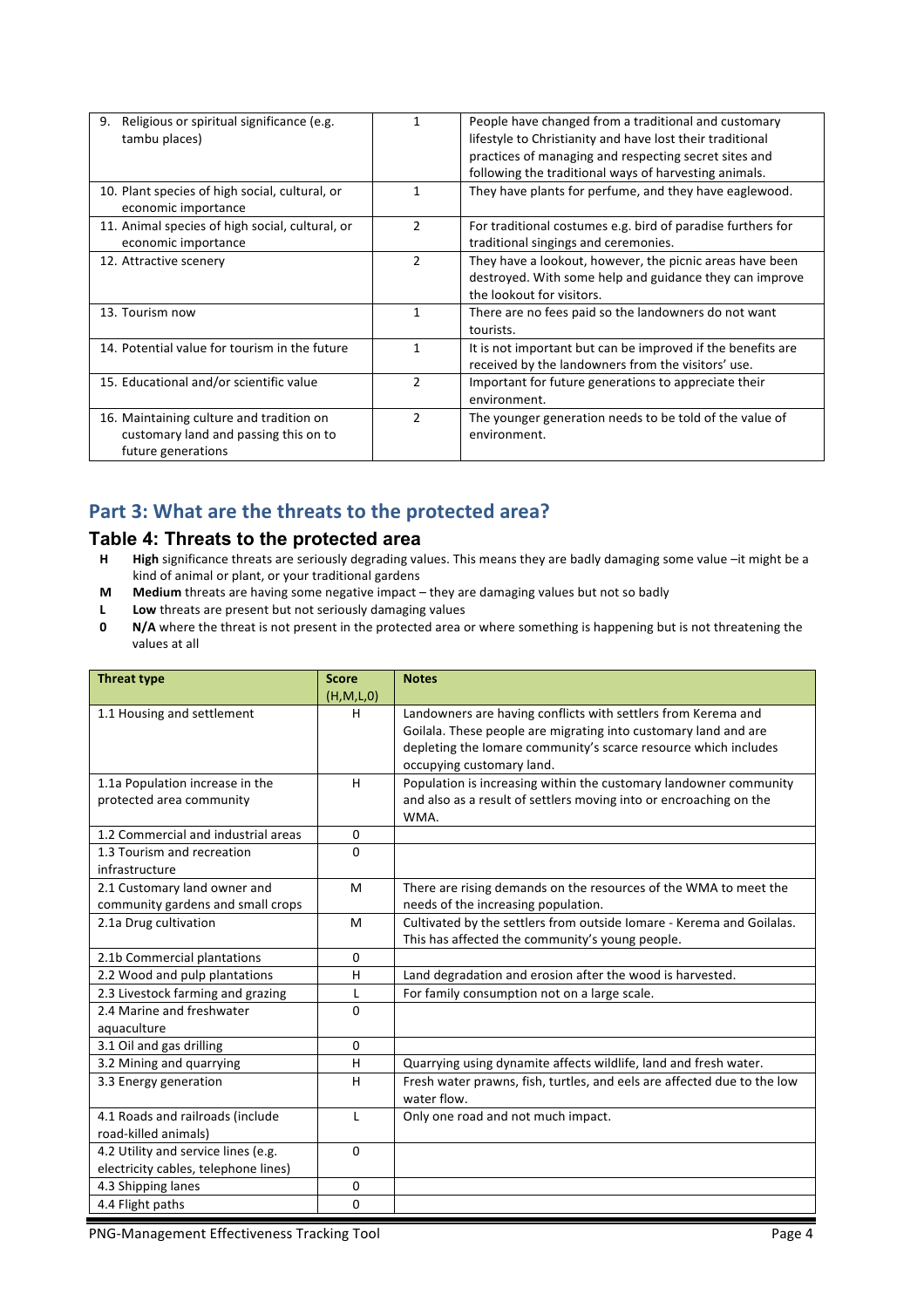| Religious or spiritual significance (e.g.<br>9.<br>tambu places)                                        |               | People have changed from a traditional and customary<br>lifestyle to Christianity and have lost their traditional<br>practices of managing and respecting secret sites and<br>following the traditional ways of harvesting animals. |
|---------------------------------------------------------------------------------------------------------|---------------|-------------------------------------------------------------------------------------------------------------------------------------------------------------------------------------------------------------------------------------|
| 10. Plant species of high social, cultural, or<br>economic importance                                   |               | They have plants for perfume, and they have eaglewood.                                                                                                                                                                              |
| 11. Animal species of high social, cultural, or<br>economic importance                                  | $\mathcal{P}$ | For traditional costumes e.g. bird of paradise furthers for<br>traditional singings and ceremonies.                                                                                                                                 |
| 12. Attractive scenery                                                                                  | 2             | They have a lookout, however, the picnic areas have been<br>destroyed. With some help and guidance they can improve<br>the lookout for visitors.                                                                                    |
| 13. Tourism now                                                                                         | 1             | There are no fees paid so the landowners do not want<br>tourists.                                                                                                                                                                   |
| 14. Potential value for tourism in the future                                                           | 1             | It is not important but can be improved if the benefits are<br>received by the landowners from the visitors' use.                                                                                                                   |
| 15. Educational and/or scientific value                                                                 | 2             | Important for future generations to appreciate their<br>environment.                                                                                                                                                                |
| 16. Maintaining culture and tradition on<br>customary land and passing this on to<br>future generations | $\mathcal{P}$ | The younger generation needs to be told of the value of<br>environment.                                                                                                                                                             |

## Part 3: What are the threats to the protected area?

#### **Table 4: Threats to the protected area**

- H High significance threats are seriously degrading values. This means they are badly damaging some value -it might be a kind of animal or plant, or your traditional gardens
- **M** Medium threats are having some negative impact they are damaging values but not so badly
- **L** Low threats are present but not seriously damaging values
- **0 N/A** where the threat is not present in the protected area or where something is happening but is not threatening the values at all

| <b>Threat type</b>                                                          | <b>Score</b> | <b>Notes</b>                                                                                                                                                                                                                     |
|-----------------------------------------------------------------------------|--------------|----------------------------------------------------------------------------------------------------------------------------------------------------------------------------------------------------------------------------------|
|                                                                             | (H,M,L,0)    |                                                                                                                                                                                                                                  |
| 1.1 Housing and settlement                                                  | H            | Landowners are having conflicts with settlers from Kerema and<br>Goilala. These people are migrating into customary land and are<br>depleting the lomare community's scarce resource which includes<br>occupying customary land. |
| 1.1a Population increase in the                                             | H            | Population is increasing within the customary landowner community                                                                                                                                                                |
| protected area community                                                    |              | and also as a result of settlers moving into or encroaching on the<br>WMA.                                                                                                                                                       |
| 1.2 Commercial and industrial areas                                         | $\mathbf{0}$ |                                                                                                                                                                                                                                  |
| 1.3 Tourism and recreation<br>infrastructure                                | $\Omega$     |                                                                                                                                                                                                                                  |
| 2.1 Customary land owner and<br>community gardens and small crops           | M            | There are rising demands on the resources of the WMA to meet the<br>needs of the increasing population.                                                                                                                          |
| 2.1a Drug cultivation                                                       | M            | Cultivated by the settlers from outside Iomare - Kerema and Goilalas.<br>This has affected the community's young people.                                                                                                         |
| 2.1b Commercial plantations                                                 | $\mathbf{0}$ |                                                                                                                                                                                                                                  |
| 2.2 Wood and pulp plantations                                               | H            | Land degradation and erosion after the wood is harvested.                                                                                                                                                                        |
| 2.3 Livestock farming and grazing                                           | L            | For family consumption not on a large scale.                                                                                                                                                                                     |
| 2.4 Marine and freshwater<br>aquaculture                                    | $\Omega$     |                                                                                                                                                                                                                                  |
| 3.1 Oil and gas drilling                                                    | $\mathbf{0}$ |                                                                                                                                                                                                                                  |
| 3.2 Mining and quarrying                                                    | H            | Quarrying using dynamite affects wildlife, land and fresh water.                                                                                                                                                                 |
| 3.3 Energy generation                                                       | H            | Fresh water prawns, fish, turtles, and eels are affected due to the low<br>water flow.                                                                                                                                           |
| 4.1 Roads and railroads (include<br>road-killed animals)                    | $\mathbf{I}$ | Only one road and not much impact.                                                                                                                                                                                               |
| 4.2 Utility and service lines (e.g.<br>electricity cables, telephone lines) | $\mathbf{0}$ |                                                                                                                                                                                                                                  |
| 4.3 Shipping lanes                                                          | 0            |                                                                                                                                                                                                                                  |
| 4.4 Flight paths                                                            | $\Omega$     |                                                                                                                                                                                                                                  |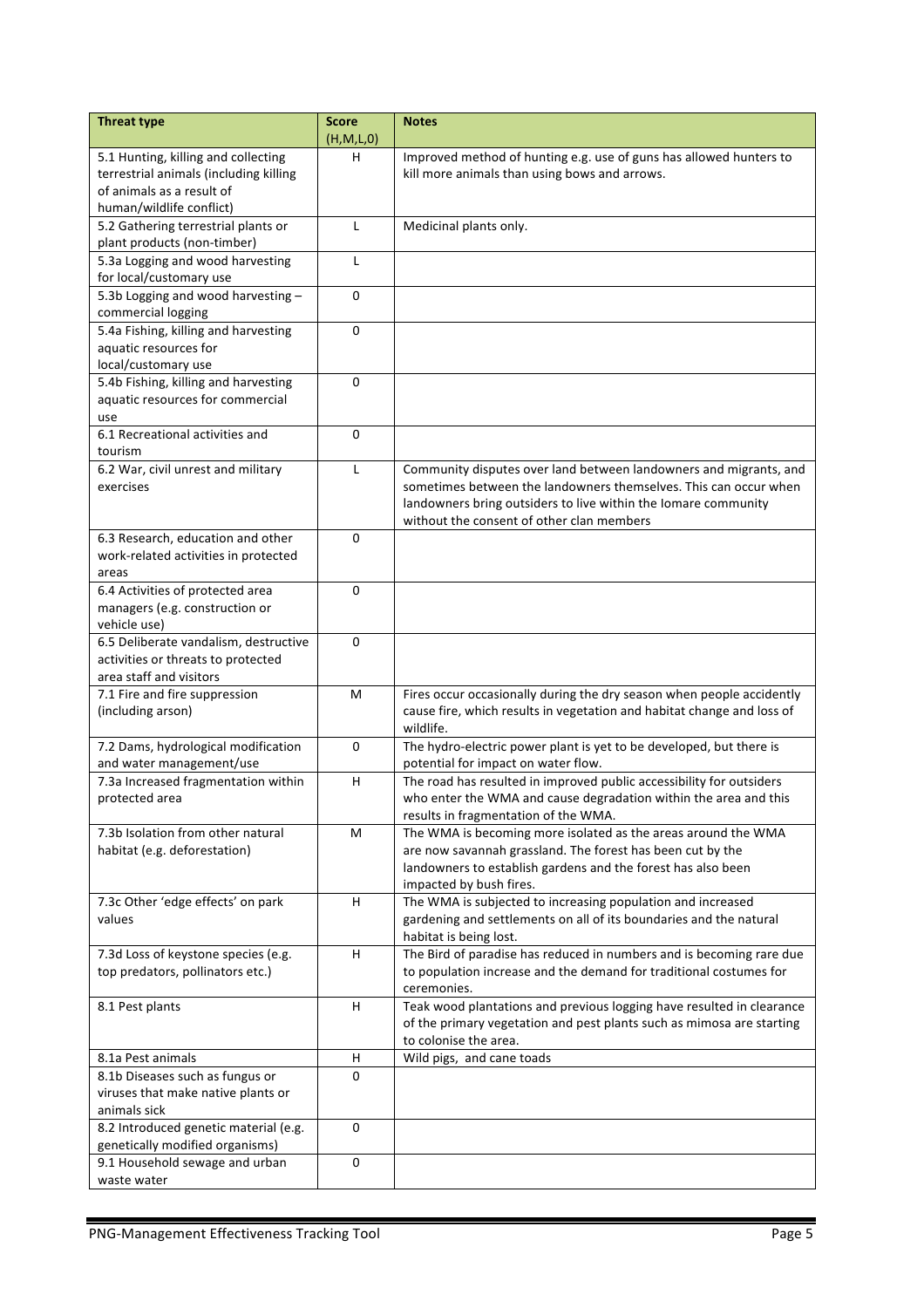| <b>Threat type</b>                                              | <b>Score</b>      | <b>Notes</b>                                                                                               |
|-----------------------------------------------------------------|-------------------|------------------------------------------------------------------------------------------------------------|
| 5.1 Hunting, killing and collecting                             | (H, M, L, 0)<br>н | Improved method of hunting e.g. use of guns has allowed hunters to                                         |
| terrestrial animals (including killing                          |                   | kill more animals than using bows and arrows.                                                              |
| of animals as a result of                                       |                   |                                                                                                            |
| human/wildlife conflict)                                        |                   |                                                                                                            |
| 5.2 Gathering terrestrial plants or                             | L                 | Medicinal plants only.                                                                                     |
| plant products (non-timber)                                     |                   |                                                                                                            |
| 5.3a Logging and wood harvesting                                | $\mathsf{L}$      |                                                                                                            |
| for local/customary use                                         |                   |                                                                                                            |
| 5.3b Logging and wood harvesting -                              | $\Omega$          |                                                                                                            |
| commercial logging                                              |                   |                                                                                                            |
| 5.4a Fishing, killing and harvesting                            | $\mathbf 0$       |                                                                                                            |
| aquatic resources for                                           |                   |                                                                                                            |
| local/customary use                                             |                   |                                                                                                            |
| 5.4b Fishing, killing and harvesting                            | 0                 |                                                                                                            |
| aquatic resources for commercial                                |                   |                                                                                                            |
| use<br>6.1 Recreational activities and                          |                   |                                                                                                            |
| tourism                                                         | 0                 |                                                                                                            |
| 6.2 War, civil unrest and military                              | L                 | Community disputes over land between landowners and migrants, and                                          |
| exercises                                                       |                   | sometimes between the landowners themselves. This can occur when                                           |
|                                                                 |                   | landowners bring outsiders to live within the lomare community                                             |
|                                                                 |                   | without the consent of other clan members                                                                  |
| 6.3 Research, education and other                               | $\mathbf 0$       |                                                                                                            |
| work-related activities in protected                            |                   |                                                                                                            |
| areas                                                           |                   |                                                                                                            |
| 6.4 Activities of protected area                                | 0                 |                                                                                                            |
| managers (e.g. construction or                                  |                   |                                                                                                            |
| vehicle use)                                                    |                   |                                                                                                            |
| 6.5 Deliberate vandalism, destructive                           | $\Omega$          |                                                                                                            |
| activities or threats to protected                              |                   |                                                                                                            |
| area staff and visitors                                         |                   |                                                                                                            |
| 7.1 Fire and fire suppression                                   | M                 | Fires occur occasionally during the dry season when people accidently                                      |
| (including arson)                                               |                   | cause fire, which results in vegetation and habitat change and loss of                                     |
|                                                                 | 0                 | wildlife.                                                                                                  |
| 7.2 Dams, hydrological modification<br>and water management/use |                   | The hydro-electric power plant is yet to be developed, but there is<br>potential for impact on water flow. |
| 7.3a Increased fragmentation within                             | H                 | The road has resulted in improved public accessibility for outsiders                                       |
| protected area                                                  |                   | who enter the WMA and cause degradation within the area and this                                           |
|                                                                 |                   | results in fragmentation of the WMA.                                                                       |
| 7.3b Isolation from other natural                               | M                 | The WMA is becoming more isolated as the areas around the WMA                                              |
| habitat (e.g. deforestation)                                    |                   | are now savannah grassland. The forest has been cut by the                                                 |
|                                                                 |                   | landowners to establish gardens and the forest has also been                                               |
|                                                                 |                   | impacted by bush fires.                                                                                    |
| 7.3c Other 'edge effects' on park                               | H.                | The WMA is subjected to increasing population and increased                                                |
| values                                                          |                   | gardening and settlements on all of its boundaries and the natural                                         |
|                                                                 |                   | habitat is being lost.                                                                                     |
| 7.3d Loss of keystone species (e.g.                             | H                 | The Bird of paradise has reduced in numbers and is becoming rare due                                       |
| top predators, pollinators etc.)                                |                   | to population increase and the demand for traditional costumes for                                         |
|                                                                 |                   | ceremonies.                                                                                                |
| 8.1 Pest plants                                                 | н                 | Teak wood plantations and previous logging have resulted in clearance                                      |
|                                                                 |                   | of the primary vegetation and pest plants such as mimosa are starting                                      |
| 8.1a Pest animals                                               | н                 | to colonise the area.<br>Wild pigs, and cane toads                                                         |
| 8.1b Diseases such as fungus or                                 | $\Omega$          |                                                                                                            |
| viruses that make native plants or                              |                   |                                                                                                            |
| animals sick                                                    |                   |                                                                                                            |
| 8.2 Introduced genetic material (e.g.                           | 0                 |                                                                                                            |
| genetically modified organisms)                                 |                   |                                                                                                            |
| 9.1 Household sewage and urban                                  | 0                 |                                                                                                            |
| waste water                                                     |                   |                                                                                                            |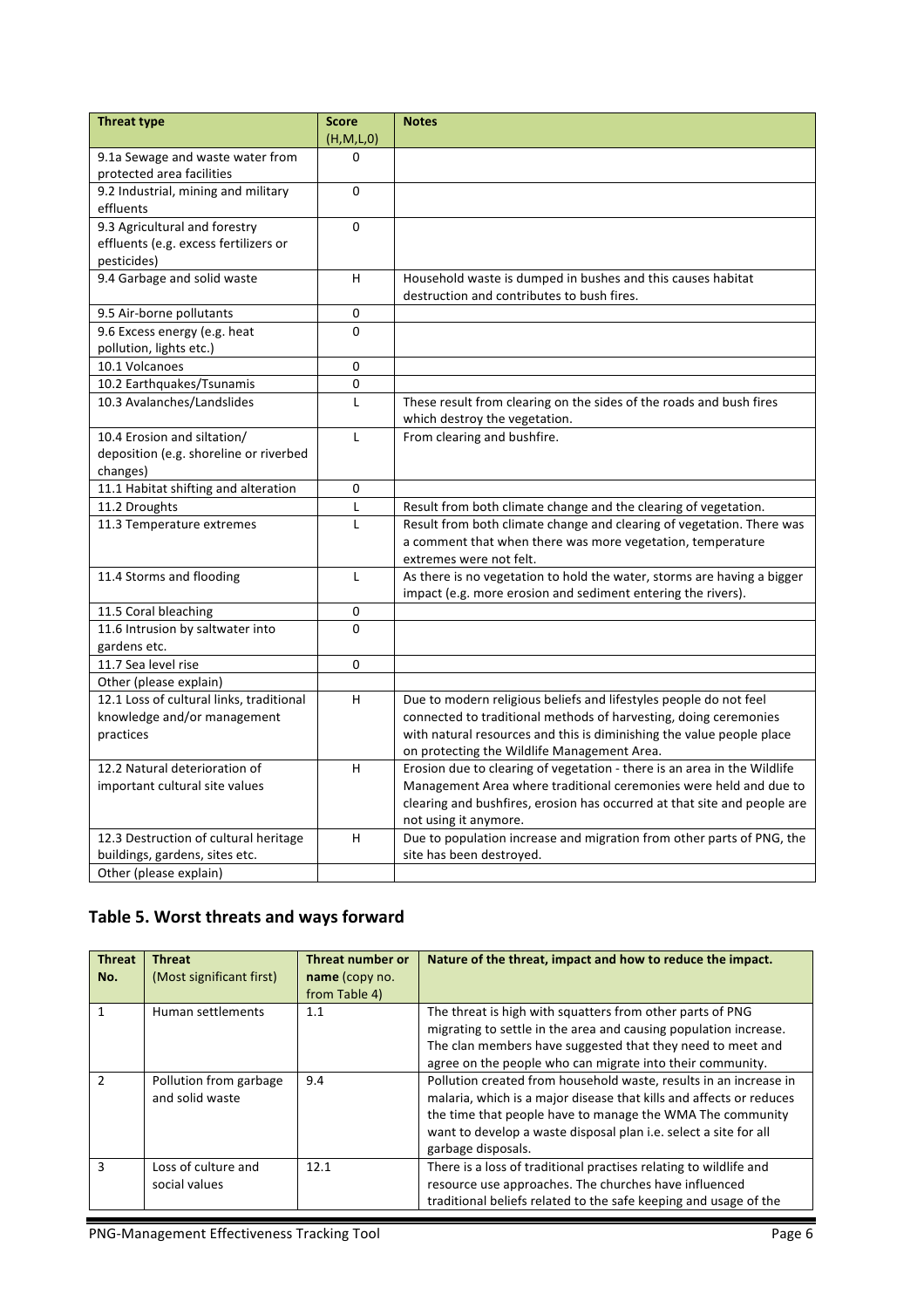| (H, M, L, 0)<br>9.1a Sewage and waste water from<br>$\Omega$<br>protected area facilities<br>9.2 Industrial, mining and military<br>0<br>effluents<br>9.3 Agricultural and forestry<br>$\Omega$<br>effluents (e.g. excess fertilizers or<br>pesticides)<br>9.4 Garbage and solid waste<br>H<br>Household waste is dumped in bushes and this causes habitat<br>destruction and contributes to bush fires.<br>9.5 Air-borne pollutants<br>0<br>0<br>9.6 Excess energy (e.g. heat<br>pollution, lights etc.)<br>10.1 Volcanoes<br>0<br>0<br>10.2 Earthquakes/Tsunamis<br>10.3 Avalanches/Landslides<br>$\mathsf{L}$<br>These result from clearing on the sides of the roads and bush fires<br>which destroy the vegetation.<br>10.4 Erosion and siltation/<br>From clearing and bushfire.<br>$\mathsf{L}$<br>deposition (e.g. shoreline or riverbed<br>changes)<br>11.1 Habitat shifting and alteration<br>0<br>11.2 Droughts<br>L<br>Result from both climate change and the clearing of vegetation.<br>11.3 Temperature extremes<br>Result from both climate change and clearing of vegetation. There was<br>L<br>a comment that when there was more vegetation, temperature<br>extremes were not felt.<br>11.4 Storms and flooding<br>As there is no vegetation to hold the water, storms are having a bigger<br>L<br>impact (e.g. more erosion and sediment entering the rivers).<br>11.5 Coral bleaching<br>0<br>11.6 Intrusion by saltwater into<br>$\Omega$<br>gardens etc.<br>11.7 Sea level rise<br>0<br>Other (please explain)<br>12.1 Loss of cultural links, traditional<br>Due to modern religious beliefs and lifestyles people do not feel<br>H.<br>knowledge and/or management<br>connected to traditional methods of harvesting, doing ceremonies<br>with natural resources and this is diminishing the value people place<br>practices | <b>Threat type</b> | <b>Score</b> | <b>Notes</b> |
|-------------------------------------------------------------------------------------------------------------------------------------------------------------------------------------------------------------------------------------------------------------------------------------------------------------------------------------------------------------------------------------------------------------------------------------------------------------------------------------------------------------------------------------------------------------------------------------------------------------------------------------------------------------------------------------------------------------------------------------------------------------------------------------------------------------------------------------------------------------------------------------------------------------------------------------------------------------------------------------------------------------------------------------------------------------------------------------------------------------------------------------------------------------------------------------------------------------------------------------------------------------------------------------------------------------------------------------------------------------------------------------------------------------------------------------------------------------------------------------------------------------------------------------------------------------------------------------------------------------------------------------------------------------------------------------------------------------------------------------------------------------------------------------------------------------------------------------------------------|--------------------|--------------|--------------|
|                                                                                                                                                                                                                                                                                                                                                                                                                                                                                                                                                                                                                                                                                                                                                                                                                                                                                                                                                                                                                                                                                                                                                                                                                                                                                                                                                                                                                                                                                                                                                                                                                                                                                                                                                                                                                                                       |                    |              |              |
|                                                                                                                                                                                                                                                                                                                                                                                                                                                                                                                                                                                                                                                                                                                                                                                                                                                                                                                                                                                                                                                                                                                                                                                                                                                                                                                                                                                                                                                                                                                                                                                                                                                                                                                                                                                                                                                       |                    |              |              |
|                                                                                                                                                                                                                                                                                                                                                                                                                                                                                                                                                                                                                                                                                                                                                                                                                                                                                                                                                                                                                                                                                                                                                                                                                                                                                                                                                                                                                                                                                                                                                                                                                                                                                                                                                                                                                                                       |                    |              |              |
|                                                                                                                                                                                                                                                                                                                                                                                                                                                                                                                                                                                                                                                                                                                                                                                                                                                                                                                                                                                                                                                                                                                                                                                                                                                                                                                                                                                                                                                                                                                                                                                                                                                                                                                                                                                                                                                       |                    |              |              |
|                                                                                                                                                                                                                                                                                                                                                                                                                                                                                                                                                                                                                                                                                                                                                                                                                                                                                                                                                                                                                                                                                                                                                                                                                                                                                                                                                                                                                                                                                                                                                                                                                                                                                                                                                                                                                                                       |                    |              |              |
|                                                                                                                                                                                                                                                                                                                                                                                                                                                                                                                                                                                                                                                                                                                                                                                                                                                                                                                                                                                                                                                                                                                                                                                                                                                                                                                                                                                                                                                                                                                                                                                                                                                                                                                                                                                                                                                       |                    |              |              |
|                                                                                                                                                                                                                                                                                                                                                                                                                                                                                                                                                                                                                                                                                                                                                                                                                                                                                                                                                                                                                                                                                                                                                                                                                                                                                                                                                                                                                                                                                                                                                                                                                                                                                                                                                                                                                                                       |                    |              |              |
|                                                                                                                                                                                                                                                                                                                                                                                                                                                                                                                                                                                                                                                                                                                                                                                                                                                                                                                                                                                                                                                                                                                                                                                                                                                                                                                                                                                                                                                                                                                                                                                                                                                                                                                                                                                                                                                       |                    |              |              |
|                                                                                                                                                                                                                                                                                                                                                                                                                                                                                                                                                                                                                                                                                                                                                                                                                                                                                                                                                                                                                                                                                                                                                                                                                                                                                                                                                                                                                                                                                                                                                                                                                                                                                                                                                                                                                                                       |                    |              |              |
|                                                                                                                                                                                                                                                                                                                                                                                                                                                                                                                                                                                                                                                                                                                                                                                                                                                                                                                                                                                                                                                                                                                                                                                                                                                                                                                                                                                                                                                                                                                                                                                                                                                                                                                                                                                                                                                       |                    |              |              |
|                                                                                                                                                                                                                                                                                                                                                                                                                                                                                                                                                                                                                                                                                                                                                                                                                                                                                                                                                                                                                                                                                                                                                                                                                                                                                                                                                                                                                                                                                                                                                                                                                                                                                                                                                                                                                                                       |                    |              |              |
|                                                                                                                                                                                                                                                                                                                                                                                                                                                                                                                                                                                                                                                                                                                                                                                                                                                                                                                                                                                                                                                                                                                                                                                                                                                                                                                                                                                                                                                                                                                                                                                                                                                                                                                                                                                                                                                       |                    |              |              |
|                                                                                                                                                                                                                                                                                                                                                                                                                                                                                                                                                                                                                                                                                                                                                                                                                                                                                                                                                                                                                                                                                                                                                                                                                                                                                                                                                                                                                                                                                                                                                                                                                                                                                                                                                                                                                                                       |                    |              |              |
|                                                                                                                                                                                                                                                                                                                                                                                                                                                                                                                                                                                                                                                                                                                                                                                                                                                                                                                                                                                                                                                                                                                                                                                                                                                                                                                                                                                                                                                                                                                                                                                                                                                                                                                                                                                                                                                       |                    |              |              |
|                                                                                                                                                                                                                                                                                                                                                                                                                                                                                                                                                                                                                                                                                                                                                                                                                                                                                                                                                                                                                                                                                                                                                                                                                                                                                                                                                                                                                                                                                                                                                                                                                                                                                                                                                                                                                                                       |                    |              |              |
|                                                                                                                                                                                                                                                                                                                                                                                                                                                                                                                                                                                                                                                                                                                                                                                                                                                                                                                                                                                                                                                                                                                                                                                                                                                                                                                                                                                                                                                                                                                                                                                                                                                                                                                                                                                                                                                       |                    |              |              |
|                                                                                                                                                                                                                                                                                                                                                                                                                                                                                                                                                                                                                                                                                                                                                                                                                                                                                                                                                                                                                                                                                                                                                                                                                                                                                                                                                                                                                                                                                                                                                                                                                                                                                                                                                                                                                                                       |                    |              |              |
|                                                                                                                                                                                                                                                                                                                                                                                                                                                                                                                                                                                                                                                                                                                                                                                                                                                                                                                                                                                                                                                                                                                                                                                                                                                                                                                                                                                                                                                                                                                                                                                                                                                                                                                                                                                                                                                       |                    |              |              |
|                                                                                                                                                                                                                                                                                                                                                                                                                                                                                                                                                                                                                                                                                                                                                                                                                                                                                                                                                                                                                                                                                                                                                                                                                                                                                                                                                                                                                                                                                                                                                                                                                                                                                                                                                                                                                                                       |                    |              |              |
|                                                                                                                                                                                                                                                                                                                                                                                                                                                                                                                                                                                                                                                                                                                                                                                                                                                                                                                                                                                                                                                                                                                                                                                                                                                                                                                                                                                                                                                                                                                                                                                                                                                                                                                                                                                                                                                       |                    |              |              |
|                                                                                                                                                                                                                                                                                                                                                                                                                                                                                                                                                                                                                                                                                                                                                                                                                                                                                                                                                                                                                                                                                                                                                                                                                                                                                                                                                                                                                                                                                                                                                                                                                                                                                                                                                                                                                                                       |                    |              |              |
|                                                                                                                                                                                                                                                                                                                                                                                                                                                                                                                                                                                                                                                                                                                                                                                                                                                                                                                                                                                                                                                                                                                                                                                                                                                                                                                                                                                                                                                                                                                                                                                                                                                                                                                                                                                                                                                       |                    |              |              |
|                                                                                                                                                                                                                                                                                                                                                                                                                                                                                                                                                                                                                                                                                                                                                                                                                                                                                                                                                                                                                                                                                                                                                                                                                                                                                                                                                                                                                                                                                                                                                                                                                                                                                                                                                                                                                                                       |                    |              |              |
|                                                                                                                                                                                                                                                                                                                                                                                                                                                                                                                                                                                                                                                                                                                                                                                                                                                                                                                                                                                                                                                                                                                                                                                                                                                                                                                                                                                                                                                                                                                                                                                                                                                                                                                                                                                                                                                       |                    |              |              |
|                                                                                                                                                                                                                                                                                                                                                                                                                                                                                                                                                                                                                                                                                                                                                                                                                                                                                                                                                                                                                                                                                                                                                                                                                                                                                                                                                                                                                                                                                                                                                                                                                                                                                                                                                                                                                                                       |                    |              |              |
|                                                                                                                                                                                                                                                                                                                                                                                                                                                                                                                                                                                                                                                                                                                                                                                                                                                                                                                                                                                                                                                                                                                                                                                                                                                                                                                                                                                                                                                                                                                                                                                                                                                                                                                                                                                                                                                       |                    |              |              |
|                                                                                                                                                                                                                                                                                                                                                                                                                                                                                                                                                                                                                                                                                                                                                                                                                                                                                                                                                                                                                                                                                                                                                                                                                                                                                                                                                                                                                                                                                                                                                                                                                                                                                                                                                                                                                                                       |                    |              |              |
|                                                                                                                                                                                                                                                                                                                                                                                                                                                                                                                                                                                                                                                                                                                                                                                                                                                                                                                                                                                                                                                                                                                                                                                                                                                                                                                                                                                                                                                                                                                                                                                                                                                                                                                                                                                                                                                       |                    |              |              |
|                                                                                                                                                                                                                                                                                                                                                                                                                                                                                                                                                                                                                                                                                                                                                                                                                                                                                                                                                                                                                                                                                                                                                                                                                                                                                                                                                                                                                                                                                                                                                                                                                                                                                                                                                                                                                                                       |                    |              |              |
|                                                                                                                                                                                                                                                                                                                                                                                                                                                                                                                                                                                                                                                                                                                                                                                                                                                                                                                                                                                                                                                                                                                                                                                                                                                                                                                                                                                                                                                                                                                                                                                                                                                                                                                                                                                                                                                       |                    |              |              |
|                                                                                                                                                                                                                                                                                                                                                                                                                                                                                                                                                                                                                                                                                                                                                                                                                                                                                                                                                                                                                                                                                                                                                                                                                                                                                                                                                                                                                                                                                                                                                                                                                                                                                                                                                                                                                                                       |                    |              |              |
|                                                                                                                                                                                                                                                                                                                                                                                                                                                                                                                                                                                                                                                                                                                                                                                                                                                                                                                                                                                                                                                                                                                                                                                                                                                                                                                                                                                                                                                                                                                                                                                                                                                                                                                                                                                                                                                       |                    |              |              |
|                                                                                                                                                                                                                                                                                                                                                                                                                                                                                                                                                                                                                                                                                                                                                                                                                                                                                                                                                                                                                                                                                                                                                                                                                                                                                                                                                                                                                                                                                                                                                                                                                                                                                                                                                                                                                                                       |                    |              |              |
|                                                                                                                                                                                                                                                                                                                                                                                                                                                                                                                                                                                                                                                                                                                                                                                                                                                                                                                                                                                                                                                                                                                                                                                                                                                                                                                                                                                                                                                                                                                                                                                                                                                                                                                                                                                                                                                       |                    |              |              |
|                                                                                                                                                                                                                                                                                                                                                                                                                                                                                                                                                                                                                                                                                                                                                                                                                                                                                                                                                                                                                                                                                                                                                                                                                                                                                                                                                                                                                                                                                                                                                                                                                                                                                                                                                                                                                                                       |                    |              |              |
| on protecting the Wildlife Management Area.                                                                                                                                                                                                                                                                                                                                                                                                                                                                                                                                                                                                                                                                                                                                                                                                                                                                                                                                                                                                                                                                                                                                                                                                                                                                                                                                                                                                                                                                                                                                                                                                                                                                                                                                                                                                           |                    |              |              |
| 12.2 Natural deterioration of<br>Erosion due to clearing of vegetation - there is an area in the Wildlife<br>H<br>Management Area where traditional ceremonies were held and due to                                                                                                                                                                                                                                                                                                                                                                                                                                                                                                                                                                                                                                                                                                                                                                                                                                                                                                                                                                                                                                                                                                                                                                                                                                                                                                                                                                                                                                                                                                                                                                                                                                                                   |                    |              |              |
| important cultural site values                                                                                                                                                                                                                                                                                                                                                                                                                                                                                                                                                                                                                                                                                                                                                                                                                                                                                                                                                                                                                                                                                                                                                                                                                                                                                                                                                                                                                                                                                                                                                                                                                                                                                                                                                                                                                        |                    |              |              |
| clearing and bushfires, erosion has occurred at that site and people are<br>not using it anymore.                                                                                                                                                                                                                                                                                                                                                                                                                                                                                                                                                                                                                                                                                                                                                                                                                                                                                                                                                                                                                                                                                                                                                                                                                                                                                                                                                                                                                                                                                                                                                                                                                                                                                                                                                     |                    |              |              |
| 12.3 Destruction of cultural heritage<br>Due to population increase and migration from other parts of PNG, the<br>H                                                                                                                                                                                                                                                                                                                                                                                                                                                                                                                                                                                                                                                                                                                                                                                                                                                                                                                                                                                                                                                                                                                                                                                                                                                                                                                                                                                                                                                                                                                                                                                                                                                                                                                                   |                    |              |              |
| buildings, gardens, sites etc.<br>site has been destroyed.                                                                                                                                                                                                                                                                                                                                                                                                                                                                                                                                                                                                                                                                                                                                                                                                                                                                                                                                                                                                                                                                                                                                                                                                                                                                                                                                                                                                                                                                                                                                                                                                                                                                                                                                                                                            |                    |              |              |
| Other (please explain)                                                                                                                                                                                                                                                                                                                                                                                                                                                                                                                                                                                                                                                                                                                                                                                                                                                                                                                                                                                                                                                                                                                                                                                                                                                                                                                                                                                                                                                                                                                                                                                                                                                                                                                                                                                                                                |                    |              |              |

# Table 5. Worst threats and ways forward

| <b>Threat</b><br>No. | <b>Threat</b><br>(Most significant first) | Threat number or<br>name (copy no.<br>from Table 4) | Nature of the threat, impact and how to reduce the impact.                                                                                                                                                                                                                                      |
|----------------------|-------------------------------------------|-----------------------------------------------------|-------------------------------------------------------------------------------------------------------------------------------------------------------------------------------------------------------------------------------------------------------------------------------------------------|
|                      | Human settlements                         | 1.1                                                 | The threat is high with squatters from other parts of PNG<br>migrating to settle in the area and causing population increase.<br>The clan members have suggested that they need to meet and<br>agree on the people who can migrate into their community.                                        |
| $\mathcal{P}$        | Pollution from garbage<br>and solid waste | 9.4                                                 | Pollution created from household waste, results in an increase in<br>malaria, which is a major disease that kills and affects or reduces<br>the time that people have to manage the WMA The community<br>want to develop a waste disposal plan i.e. select a site for all<br>garbage disposals. |
| з                    | Loss of culture and<br>social values      | 12.1                                                | There is a loss of traditional practises relating to wildlife and<br>resource use approaches. The churches have influenced<br>traditional beliefs related to the safe keeping and usage of the                                                                                                  |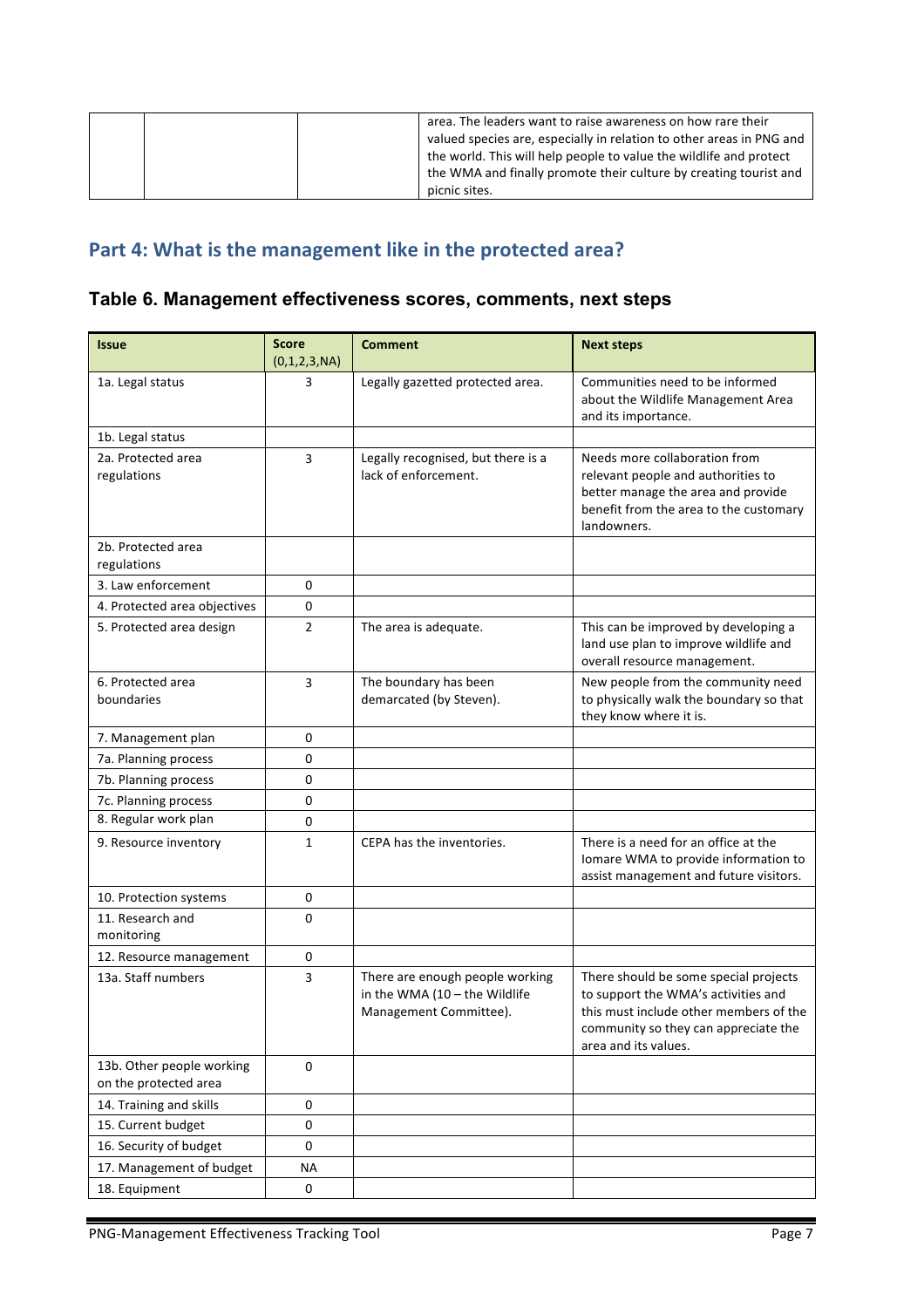|  | area. The leaders want to raise awareness on how rare their<br>valued species are, especially in relation to other areas in PNG and<br>the world. This will help people to value the wildlife and protect<br>the WMA and finally promote their culture by creating tourist and<br>picnic sites. |
|--|-------------------------------------------------------------------------------------------------------------------------------------------------------------------------------------------------------------------------------------------------------------------------------------------------|
|  |                                                                                                                                                                                                                                                                                                 |

# Part 4: What is the management like in the protected area?

## **Table 6. Management effectiveness scores, comments, next steps**

| <b>Issue</b>                                       | <b>Score</b><br>(0,1,2,3,NA) | <b>Comment</b>                                                                               | <b>Next steps</b>                                                                                                                                                                      |
|----------------------------------------------------|------------------------------|----------------------------------------------------------------------------------------------|----------------------------------------------------------------------------------------------------------------------------------------------------------------------------------------|
| 1a. Legal status                                   | 3                            | Legally gazetted protected area.                                                             | Communities need to be informed<br>about the Wildlife Management Area<br>and its importance.                                                                                           |
| 1b. Legal status                                   |                              |                                                                                              |                                                                                                                                                                                        |
| 2a. Protected area<br>regulations                  | 3                            | Legally recognised, but there is a<br>lack of enforcement.                                   | Needs more collaboration from<br>relevant people and authorities to<br>better manage the area and provide<br>benefit from the area to the customary<br>landowners.                     |
| 2b. Protected area<br>regulations                  |                              |                                                                                              |                                                                                                                                                                                        |
| 3. Law enforcement                                 | 0                            |                                                                                              |                                                                                                                                                                                        |
| 4. Protected area objectives                       | 0                            |                                                                                              |                                                                                                                                                                                        |
| 5. Protected area design                           | $\overline{2}$               | The area is adequate.                                                                        | This can be improved by developing a<br>land use plan to improve wildlife and<br>overall resource management.                                                                          |
| 6. Protected area<br>boundaries                    | 3                            | The boundary has been<br>demarcated (by Steven).                                             | New people from the community need<br>to physically walk the boundary so that<br>they know where it is.                                                                                |
| 7. Management plan                                 | 0                            |                                                                                              |                                                                                                                                                                                        |
| 7a. Planning process                               | 0                            |                                                                                              |                                                                                                                                                                                        |
| 7b. Planning process                               | 0                            |                                                                                              |                                                                                                                                                                                        |
| 7c. Planning process                               | 0                            |                                                                                              |                                                                                                                                                                                        |
| 8. Regular work plan                               | 0                            |                                                                                              |                                                                                                                                                                                        |
| 9. Resource inventory                              | 1                            | CEPA has the inventories.                                                                    | There is a need for an office at the<br>Iomare WMA to provide information to<br>assist management and future visitors.                                                                 |
| 10. Protection systems                             | 0                            |                                                                                              |                                                                                                                                                                                        |
| 11. Research and<br>monitoring                     | 0                            |                                                                                              |                                                                                                                                                                                        |
| 12. Resource management                            | 0                            |                                                                                              |                                                                                                                                                                                        |
| 13a. Staff numbers                                 | 3                            | There are enough people working<br>in the WMA $(10 -$ the Wildlife<br>Management Committee). | There should be some special projects<br>to support the WMA's activities and<br>this must include other members of the<br>community so they can appreciate the<br>area and its values. |
| 13b. Other people working<br>on the protected area | 0                            |                                                                                              |                                                                                                                                                                                        |
| 14. Training and skills                            | 0                            |                                                                                              |                                                                                                                                                                                        |
| 15. Current budget                                 | $\pmb{0}$                    |                                                                                              |                                                                                                                                                                                        |
| 16. Security of budget                             | 0                            |                                                                                              |                                                                                                                                                                                        |
| 17. Management of budget                           | <b>NA</b>                    |                                                                                              |                                                                                                                                                                                        |
| 18. Equipment                                      | 0                            |                                                                                              |                                                                                                                                                                                        |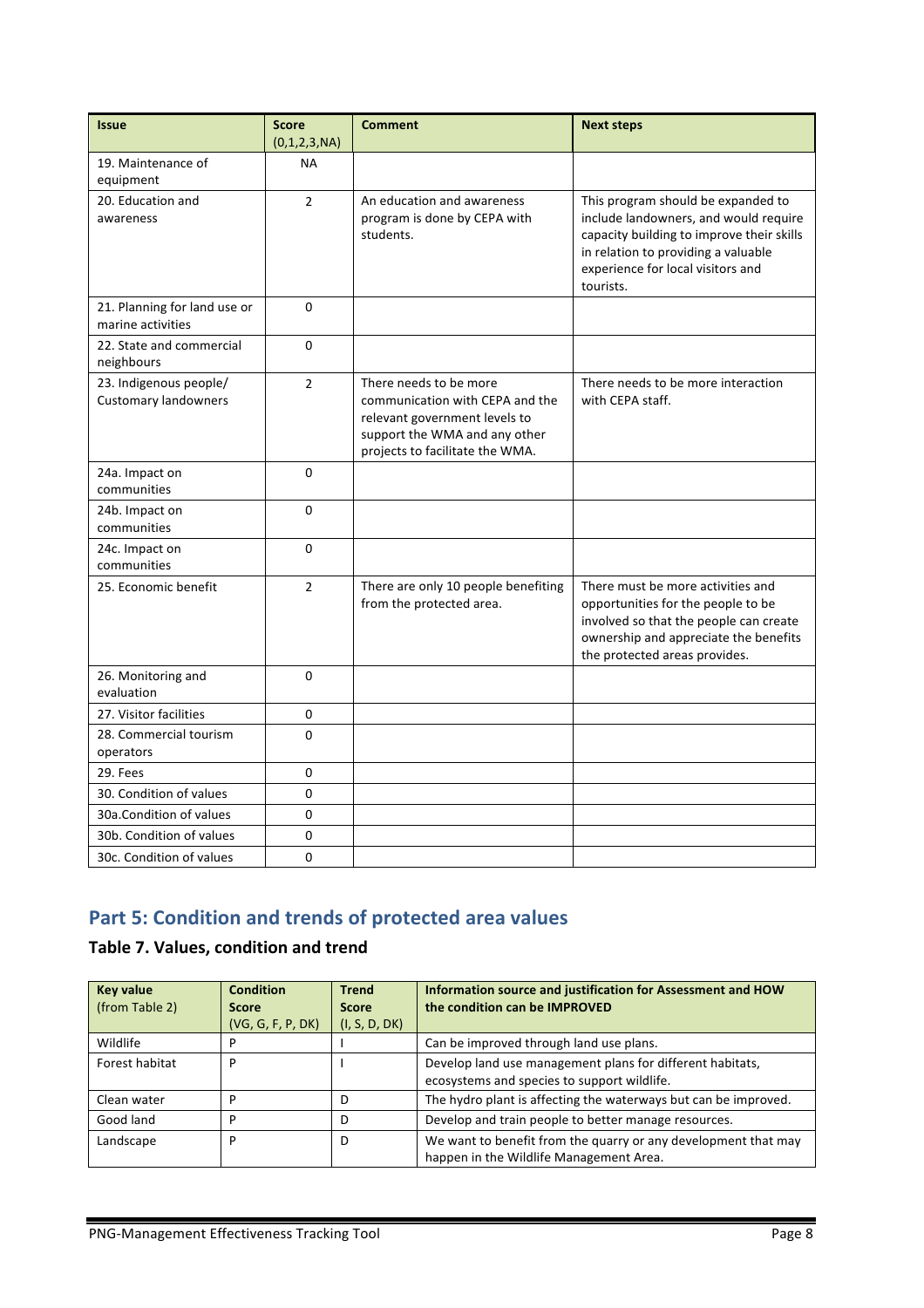| <b>Issue</b>                                          | <b>Score</b><br>(0,1,2,3,NA) | <b>Comment</b>                                                                                                                                                 | <b>Next steps</b>                                                                                                                                                                                                 |
|-------------------------------------------------------|------------------------------|----------------------------------------------------------------------------------------------------------------------------------------------------------------|-------------------------------------------------------------------------------------------------------------------------------------------------------------------------------------------------------------------|
| 19. Maintenance of<br>equipment                       | <b>NA</b>                    |                                                                                                                                                                |                                                                                                                                                                                                                   |
| 20. Education and<br>awareness                        | $\overline{2}$               | An education and awareness<br>program is done by CEPA with<br>students.                                                                                        | This program should be expanded to<br>include landowners, and would require<br>capacity building to improve their skills<br>in relation to providing a valuable<br>experience for local visitors and<br>tourists. |
| 21. Planning for land use or<br>marine activities     | $\Omega$                     |                                                                                                                                                                |                                                                                                                                                                                                                   |
| 22. State and commercial<br>neighbours                | $\Omega$                     |                                                                                                                                                                |                                                                                                                                                                                                                   |
| 23. Indigenous people/<br><b>Customary landowners</b> | $\mathcal{P}$                | There needs to be more<br>communication with CEPA and the<br>relevant government levels to<br>support the WMA and any other<br>projects to facilitate the WMA. | There needs to be more interaction<br>with CEPA staff.                                                                                                                                                            |
| 24a. Impact on<br>communities                         | $\Omega$                     |                                                                                                                                                                |                                                                                                                                                                                                                   |
| 24b. Impact on<br>communities                         | 0                            |                                                                                                                                                                |                                                                                                                                                                                                                   |
| 24c. Impact on<br>communities                         | 0                            |                                                                                                                                                                |                                                                                                                                                                                                                   |
| 25. Economic benefit                                  | $\overline{2}$               | There are only 10 people benefiting<br>from the protected area.                                                                                                | There must be more activities and<br>opportunities for the people to be<br>involved so that the people can create<br>ownership and appreciate the benefits<br>the protected areas provides.                       |
| 26. Monitoring and<br>evaluation                      | 0                            |                                                                                                                                                                |                                                                                                                                                                                                                   |
| 27. Visitor facilities                                | 0                            |                                                                                                                                                                |                                                                                                                                                                                                                   |
| 28. Commercial tourism<br>operators                   | 0                            |                                                                                                                                                                |                                                                                                                                                                                                                   |
| 29. Fees                                              | 0                            |                                                                                                                                                                |                                                                                                                                                                                                                   |
| 30. Condition of values                               | 0                            |                                                                                                                                                                |                                                                                                                                                                                                                   |
| 30a. Condition of values                              | 0                            |                                                                                                                                                                |                                                                                                                                                                                                                   |
| 30b. Condition of values                              | 0                            |                                                                                                                                                                |                                                                                                                                                                                                                   |
| 30c. Condition of values                              | 0                            |                                                                                                                                                                |                                                                                                                                                                                                                   |

# **Part 5: Condition and trends of protected area values**

### **Table 7. Values, condition and trend**

| <b>Key value</b><br>(from Table 2) | <b>Condition</b><br><b>Score</b> | <b>Trend</b><br><b>Score</b> | Information source and justification for Assessment and HOW<br>the condition can be IMPROVED |
|------------------------------------|----------------------------------|------------------------------|----------------------------------------------------------------------------------------------|
|                                    | (VG, G, F, P, DK)                | (I, S, D, DK)                |                                                                                              |
| Wildlife                           |                                  |                              | Can be improved through land use plans.                                                      |
| Forest habitat                     | D                                |                              | Develop land use management plans for different habitats,                                    |
|                                    |                                  |                              | ecosystems and species to support wildlife.                                                  |
| Clean water                        | ח                                | D                            | The hydro plant is affecting the waterways but can be improved.                              |
| Good land                          | D                                | D                            | Develop and train people to better manage resources.                                         |
| Landscape                          | D                                | D                            | We want to benefit from the quarry or any development that may                               |
|                                    |                                  |                              | happen in the Wildlife Management Area.                                                      |